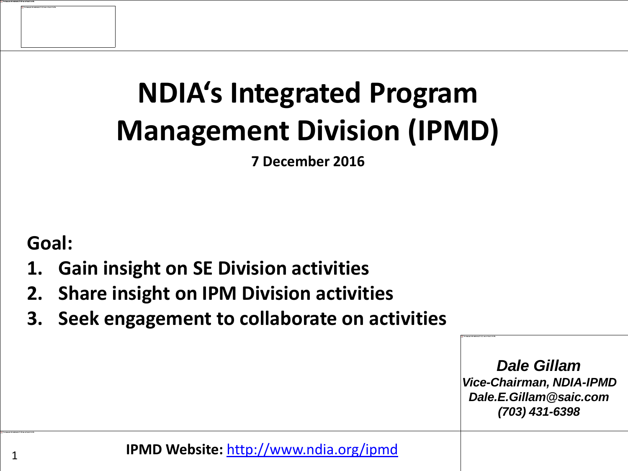# **NDIA's Integrated Program Management Division (IPMD)**

**7 December 2016**

**Goal:**

- **1. Gain insight on SE Division activities**
- **2. Share insight on IPM Division activities**
- **3. Seek engagement to collaborate on activities**

*Dale Gillam Vice-Chairman, NDIA-IPMD Dale.E.Gillam@saic.com (703) 431-6398*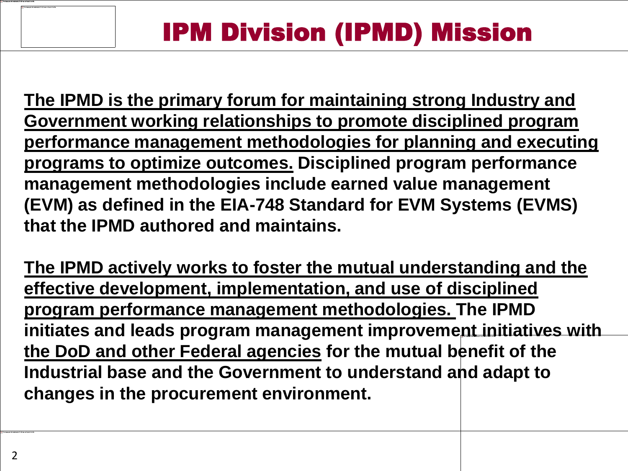**The IPMD is the primary forum for maintaining strong Industry and Government working relationships to promote disciplined program performance management methodologies for planning and executing programs to optimize outcomes. Disciplined program performance management methodologies include earned value management (EVM) as defined in the EIA-748 Standard for EVM Systems (EVMS) that the IPMD authored and maintains.** 

**The IPMD actively works to foster the mutual understanding and the effective development, implementation, and use of disciplined program performance management methodologies. The IPMD initiates and leads program management improvement initiatives with the DoD and other Federal agencies for the mutual benefit of the Industrial base and the Government to understand and adapt to changes in the procurement environment.**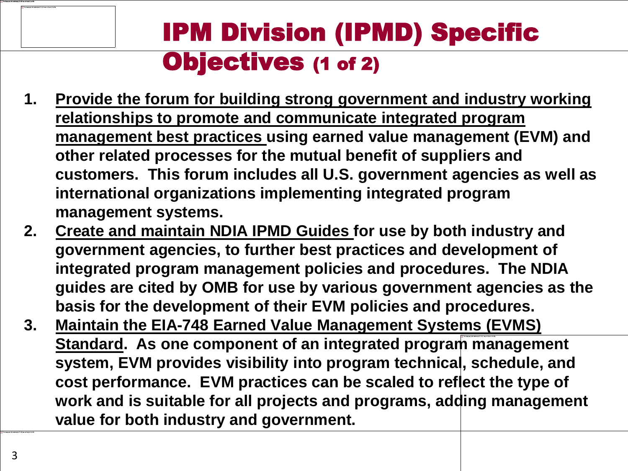### IPM Division (IPMD) Specific Objectives (1 of 2)

- **1. Provide the forum for building strong government and industry working relationships to promote and communicate integrated program management best practices using earned value management (EVM) and other related processes for the mutual benefit of suppliers and customers. This forum includes all U.S. government agencies as well as international organizations implementing integrated program management systems.**
- **2. Create and maintain NDIA IPMD Guides for use by both industry and government agencies, to further best practices and development of integrated program management policies and procedures. The NDIA guides are cited by OMB for use by various government agencies as the basis for the development of their EVM policies and procedures.**
- **3. Maintain the EIA-748 Earned Value Management Systems (EVMS) Standard. As one component of an integrated program management system, EVM provides visibility into program technical, schedule, and cost performance. EVM practices can be scaled to reflect the type of work and is suitable for all projects and programs, adding management value for both industry and government.**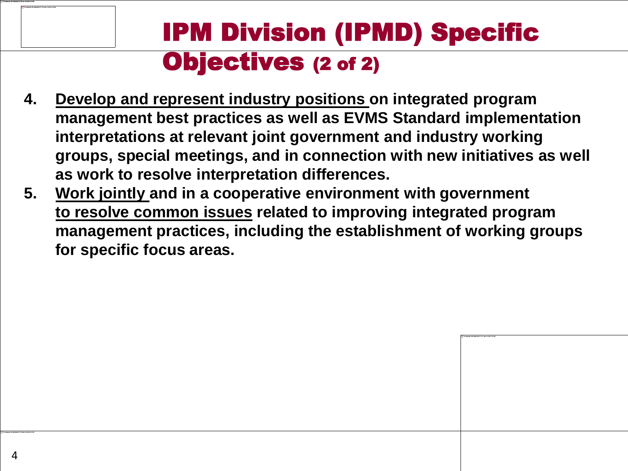#### IPM Division (IPMD) Specific Objectives (2 of 2)

- **4. Develop and represent industry positions on integrated program management best practices as well as EVMS Standard implementation interpretations at relevant joint government and industry working groups, special meetings, and in connection with new initiatives as well as work to resolve interpretation differences.**
- **5. Work jointly and in a cooperative environment with government to resolve common issues related to improving integrated program management practices, including the establishment of working groups for specific focus areas.**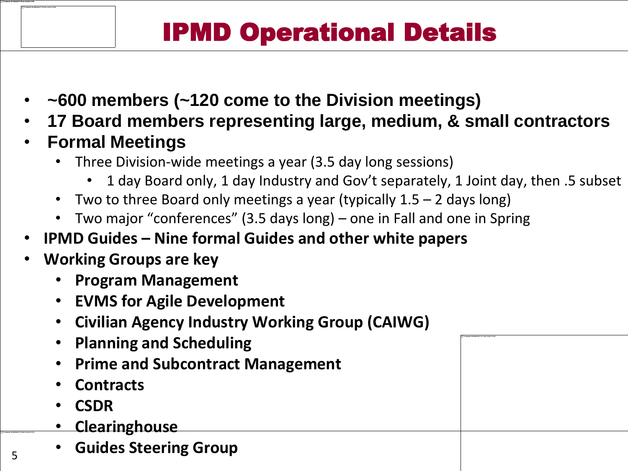## IPMD Operational Details

- **~600 members (~120 come to the Division meetings)**
- **17 Board members representing large, medium, & small contractors**
- **Formal Meetings**
	- Three Division-wide meetings a year (3.5 day long sessions)
		- 1 day Board only, 1 day Industry and Gov't separately, 1 Joint day, then .5 subset
	- Two to three Board only meetings a year (typically 1.5 2 days long)
	- Two major "conferences" (3.5 days long) one in Fall and one in Spring
- **IPMD Guides – Nine formal Guides and other white papers**
- **Working Groups are key**
	- **Program Management**
	- **EVMS for Agile Development**
	- **Civilian Agency Industry Working Group (CAIWG)**
	- **Planning and Scheduling**
	- **Prime and Subcontract Management**
	- **Contracts**
	- **CSDR**
	- **Clearinghouse**
	- **Guides Steering Group**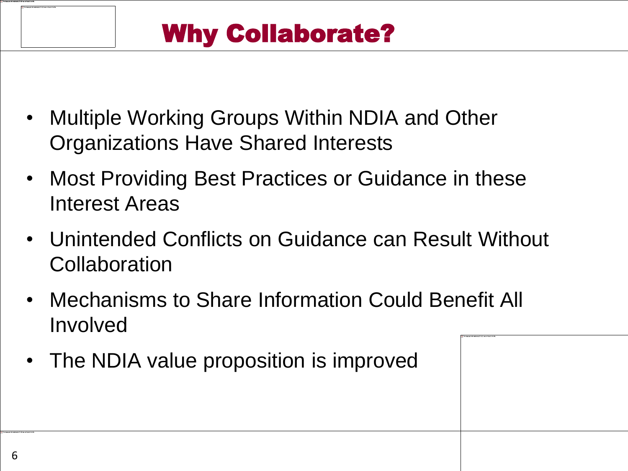- Multiple Working Groups Within NDIA and Other Organizations Have Shared Interests
- Most Providing Best Practices or Guidance in these Interest Areas
- Unintended Conflicts on Guidance can Result Without **Collaboration**
- Mechanisms to Share Information Could Benefit All Involved
- The NDIA value proposition is improved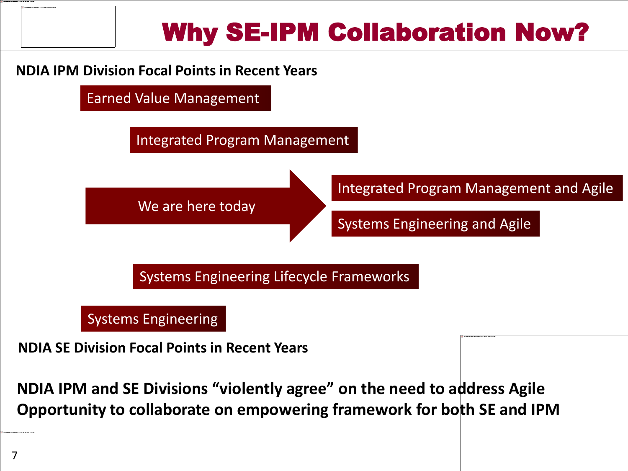

#### **NDIA IPM Division Focal Points in Recent Years**



#### Systems Engineering

**NDIA SE Division Focal Points in Recent Years**

**NDIA IPM and SE Divisions "violently agree" on the need to address Agile Opportunity to collaborate on empowering framework for both SE and IPM**